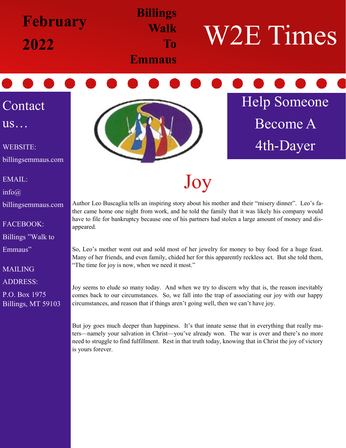

EMAIL:

billingsemmaus.com

FACEBOOK:

Emmaus"

MAILING

ADDRESS:

P.O. Box 1975

Billings, MT 59103

Billings "Walk to

info@

Joy

Author Leo Buscaglia tells an inspiring story about his mother and their "misery dinner". Leo's father came home one night from work, and he told the family that it was likely his company would have to file for bankruptcy because one of his partners had stolen a large amount of money and disappeared.

So, Leo's mother went out and sold most of her jewelry for money to buy food for a huge feast. Many of her friends, and even family, chided her for this apparently reckless act. But she told them, "The time for joy is now, when we need it most."

Joy seems to elude so many today. And when we try to discern why that is, the reason inevitably comes back to our circumstances. So, we fall into the trap of associating our joy with our happy circumstances, and reason that if things aren't going well, then we can't have joy.

But joy goes much deeper than happiness. It's that innate sense that in everything that really maters—namely your salvation in Christ—you've already won. The war is over and there's no more need to struggle to find fulfillment. Rest in that truth today, knowing that in Christ the joy of victory is yours forever.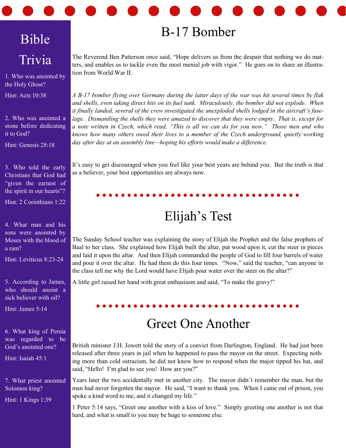# Bible Trivia

1. Who was anointed by the Holy Ghost?

Hint: Acts 10:38

2. Who was anointed a stone before dedicating it to God?

Hint: Genesis 28:18

3. Who told the early Christians that God had "given the earnest of the spirit in our hearts"?

Hint: 2 Corinthians 1:22

4. What man and his sons were anointed by Moses with the blood of a ram?

Hint: Leviticus 8:23-24

5. According to James, who should anoint a sick believer with oil?

Hint: James 5:14

6. What king of Persia was regarded to be God's anointed one?

Hint: Isaiah 45:1

7. What priest anointed Solomon king? Hint: 1 Kings 1:39

## B-17 Bomber

The Reverend Ben Patterson once said, "Hope delivers us from the despair that nothing we do matters, and enables us to tackle even the most menial job with vigor." He goes on to share an illustration from World War II.

*A B-17 bomber flying over Germany during the latter days of the war was hit several times by flak and shells, even taking direct hits on its fuel tank. Miraculously, the bomber did not explode. When*  it finally landed, several of the crew investigated the unexploded shells lodged in the aircraft's fuse*lage. Dismantling the shells they were amazed to discover that they were empty. That is, except for a note written in Czech, which read, "This is all we can do for you now." Those men and who knows how many others owed their lives to a member of the Czech underground, quietly working day after day at an assembly line—hoping his efforts would make a difference.*

It's easy to get discouraged when you feel like your best years are behind you. But the truth is that as a believer, your best opportunities are always now.

## Elijah's Test

The Sunday School teacher was explaining the story of Elijah the Prophet and the false prophets of Baal to her class. She explained how Elijah built the altar, put wood upon it, cut the steer in pieces and laid it upon the altar. And then Elijah commanded the people of God to fill four barrels of water and pour it over the altar. He had them do this four times. "Now," said the teacher, "can anyone in the class tell me why the Lord would have Elijah pour water over the steer on the altar?"

A little girl raised her hand with great enthusiasm and said, "To make the gravy!"

### Greet One Another

British minister J.H. Jowett told the story of a convict from Darlington, England. He had just been released after three years in jail when he happened to pass the mayor on the street. Expecting nothing more than cold ostracism, he did not know how to respond when the major tipped his hat, and said, "Hello! I'm glad to see you! How are you?"

Years later the two accidentally met in another city. The mayor didn't remember the man, but the man had never forgotten the mayor. He said, "I want to thank you. When I came out of prison, you spoke a kind word to me, and it changed my life."

1 Peter 5:14 says, "Greet one another with a kiss of love." Simply greeting one another is not that hard, and what is small to you may be huge to someone else.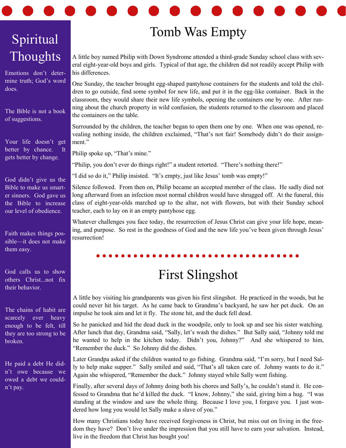# Spiritual **Thoughts**

Emotions don't determine truth; God's word does.

The Bible is not a book of suggestions.

Your life doesn't get better by chance. It gets better by change.

God didn't give us the Bible to make us smarter sinners. God gave us the Bible to increase our level of obedience.

Faith makes things possible—it does not make them easy.

God calls us to show others Christ...not fix their behavior.

The chains of habit are scarcely ever heavy enough to be felt, till they are too strong to be broken.

He paid a debt He didn't owe because we owed a debt we couldn't pay.

## Tomb Was Empty

A little boy named Philip with Down Syndrome attended a third-grade Sunday school class with several eight-year-old boys and girls. Typical of that age, the children did not readily accept Philip with his differences.

One Sunday, the teacher brought egg-shaped pantyhose containers for the students and told the children to go outside, find some symbol for new life, and put it in the egg-like container. Back in the classroom, they would share their new life symbols, opening the containers one by one. After running about the church property in wild confusion, the students returned to the classroom and placed the containers on the table.

Surrounded by the children, the teacher began to open them one by one. When one was opened, revealing nothing inside, the children exclaimed, "That's not fair! Somebody didn't do their assignment."

Philip spoke up, "That's mine."

"Philip, you don't ever do things right!" a student retorted. "There's nothing there!"

"I did so do it," Philip insisted. "It's empty, just like Jesus' tomb was empty!"

Silence followed. From then on, Philip became an accepted member of the class. He sadly died not long afterward from an infection most normal children would have shrugged off. At the funeral, this class of eight-year-olds marched up to the altar, not with flowers, but with their Sunday school teacher, each to lay on it an empty pantyhose egg.

Whatever challenges you face today, the resurrection of Jesus Christ can give your life hope, meaning, and purpose. So rest in the goodness of God and the new life you've been given through Jesus' resurrection!

### First Slingshot

A little boy visiting his grandparents was given his first slingshot. He practiced in the woods, but he could never hit his target. As he came back to Grandma's backyard, he saw her pet duck. On an impulse he took aim and let it fly. The stone hit, and the duck fell dead.

So he panicked and hid the dead duck in the woodpile, only to look up and see his sister watching. After lunch that day, Grandma said, "Sally, let's wash the dishes." But Sally said, "Johnny told me he wanted to help in the kitchen today. Didn't you, Johnny?" And she whispered to him, "Remember the duck." So Johnny did the dishes.

Later Grandpa asked if the children wanted to go fishing. Grandma said, "I'm sorry, but I need Sally to help make supper." Sally smiled and said, "That's all taken care of. Johnny wants to do it." Again she whispered, "Remember the duck." Johnny stayed while Sally went fishing.

Finally, after several days of Johnny doing both his chores and Sally's, he couldn't stand it. He confessed to Grandma that he'd killed the duck. "I know, Johnny," she said, giving him a hug. "I was standing at the window and saw the whole thing. Because I love you, I forgave you. I just wondered how long you would let Sally make a slave of you."

How many Christians today have received forgiveness in Christ, but miss out on living in the freedom they have? Don't live under the impression that you still have to earn your salvation. Instead, live in the freedom that Christ has bought you!